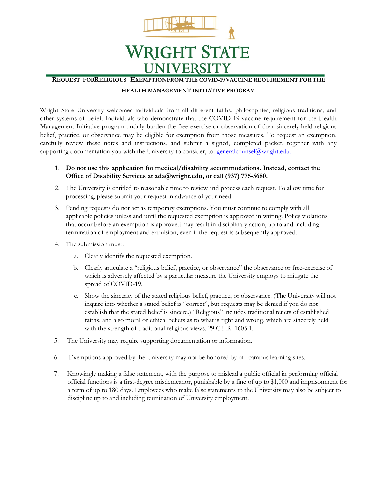

**REQUEST FORRELIGIOUS EXEMPTIONFROM THE COVID-19 VACCINE REQUIREMENT FOR THE** 

## **HEALTH MANAGEMENT INITIATIVE PROGRAM**

Wright State University welcomes individuals from all different faiths, philosophies, religious traditions, and other systems of belief. Individuals who demonstrate that the COVID-19 vaccine requirement for the Health Management Initiative program unduly burden the free exercise or observation of their sincerely-held religious belief, practice, or observance may be eligible for exemption from those measures. To request an exemption, carefully review these notes and instructions, and submit a signed, completed packet, together with any supporting documentation you wish the University to consider, to: generalcounsel@wright.edu.

- 1. **Do not use this application for medical/disability accommodations. Instead, contact the Office of Disability Services at ada@wright.edu, or call (937) 775-5680.**
- 2. The University is entitled to reasonable time to review and process each request. To allow time for processing, please submit your request in advance of your need.
- 3. Pending requests do not act as temporary exemptions. You must continue to comply with all applicable policies unless and until the requested exemption is approved in writing. Policy violations that occur before an exemption is approved may result in disciplinary action, up to and including termination of employment and expulsion, even if the request is subsequently approved.
- 4. The submission must:
	- a. Clearly identify the requested exemption.
	- b. Clearly articulate a "religious belief, practice, or observance" the observance or free-exercise of which is adversely affected by a particular measure the University employs to mitigate the spread of COVID-19.
	- c. Show the sincerity of the stated religious belief, practice, or observance. (The University will not inquire into whether a stated belief is "correct", but requests may be denied if you do not establish that the stated belief is sincere.) "Religious" includes traditional tenets of established faiths, and also moral or ethical beliefs as to what is right and wrong, which are sincerely held with the strength of traditional religious views. 29 C.F.R. 1605.1.
- 5. The University may require supporting documentation or information.
- 6. Exemptions approved by the University may not be honored by off-campus learning sites.
- 7. Knowingly making a false statement, with the purpose to mislead a public official in performing official official functions is a first-degree misdemeanor, punishable by a fine of up to \$1,000 and imprisonment for a term of up to 180 days. Employees who make false statements to the University may also be subject to discipline up to and including termination of University employment.